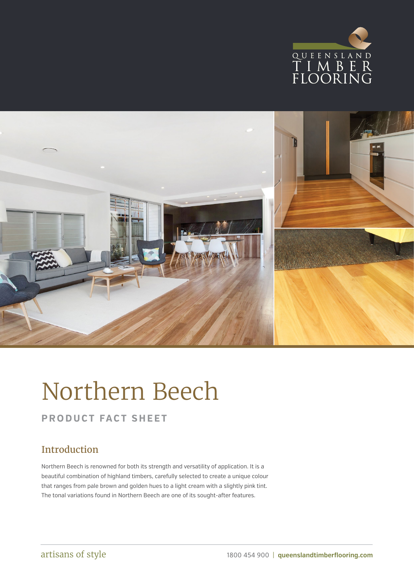



# Northern Beech

## **PRODUCT FACT SHEET**

### Introduction

Northern Beech is renowned for both its strength and versatility of application. It is a beautiful combination of highland timbers, carefully selected to create a unique colour that ranges from pale brown and golden hues to a light cream with a slightly pink tint. The tonal variations found in Northern Beech are one of its sought-after features.